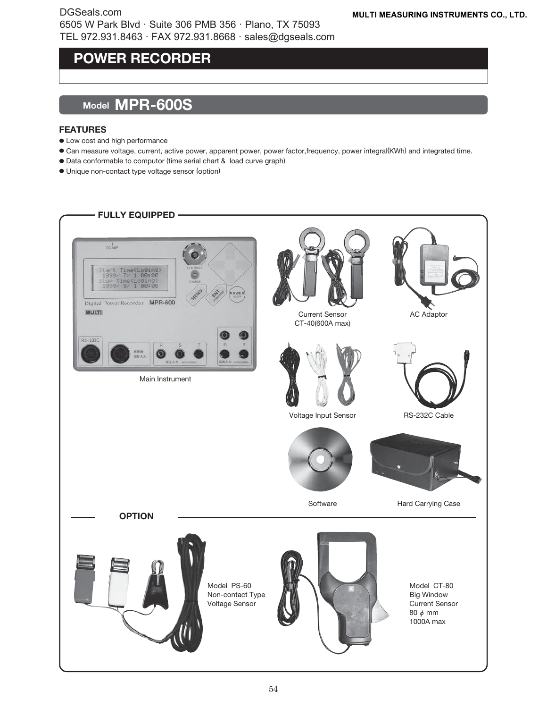### **MINI DIGITAL CLAMP TESTER POWER RECORDER**

## **Model MPR-600S**

#### **FEATURES**

- Low cost and high performance
- Can measure voltage, current, active power, apparent power, power factor,frequency, power integral(KWh) and integrated time.
- Data conformable to computor (time serial chart & load curve graph)
- Unique non-contact type voltage sensor (option)